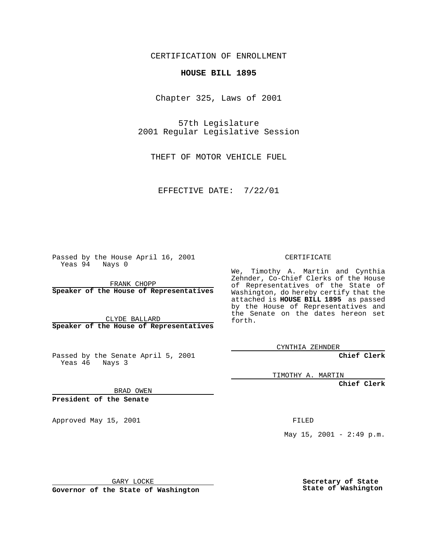CERTIFICATION OF ENROLLMENT

## **HOUSE BILL 1895**

Chapter 325, Laws of 2001

57th Legislature 2001 Regular Legislative Session

THEFT OF MOTOR VEHICLE FUEL

EFFECTIVE DATE: 7/22/01

Passed by the House April 16, 2001 Yeas 94 Nays 0

FRANK CHOPP **Speaker of the House of Representatives**

CLYDE BALLARD **Speaker of the House of Representatives**

Passed by the Senate April 5, 2001 Yeas 46 Nays 3

CERTIFICATE

We, Timothy A. Martin and Cynthia Zehnder, Co-Chief Clerks of the House of Representatives of the State of Washington, do hereby certify that the attached is **HOUSE BILL 1895** as passed by the House of Representatives and the Senate on the dates hereon set forth.

CYNTHIA ZEHNDER

**Chief Clerk**

TIMOTHY A. MARTIN

**Chief Clerk**

BRAD OWEN

**President of the Senate**

Approved May 15, 2001 and the contract of the FILED

May  $15$ ,  $2001 - 2:49$  p.m.

GARY LOCKE

**Governor of the State of Washington**

**Secretary of State State of Washington**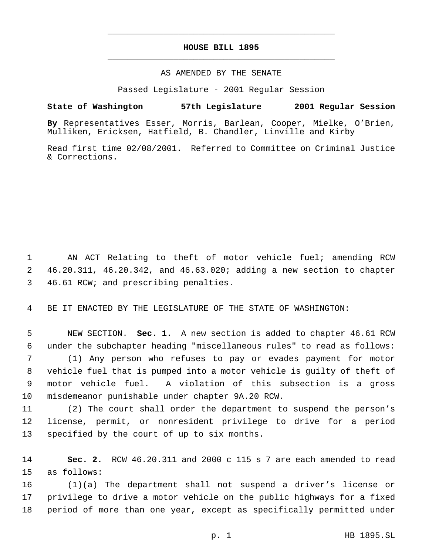## **HOUSE BILL 1895** \_\_\_\_\_\_\_\_\_\_\_\_\_\_\_\_\_\_\_\_\_\_\_\_\_\_\_\_\_\_\_\_\_\_\_\_\_\_\_\_\_\_\_\_\_

\_\_\_\_\_\_\_\_\_\_\_\_\_\_\_\_\_\_\_\_\_\_\_\_\_\_\_\_\_\_\_\_\_\_\_\_\_\_\_\_\_\_\_\_\_

## AS AMENDED BY THE SENATE

Passed Legislature - 2001 Regular Session

## **State of Washington 57th Legislature 2001 Regular Session**

**By** Representatives Esser, Morris, Barlean, Cooper, Mielke, O'Brien, Mulliken, Ericksen, Hatfield, B. Chandler, Linville and Kirby

Read first time 02/08/2001. Referred to Committee on Criminal Justice & Corrections.

 AN ACT Relating to theft of motor vehicle fuel; amending RCW 46.20.311, 46.20.342, and 46.63.020; adding a new section to chapter 46.61 RCW; and prescribing penalties.

BE IT ENACTED BY THE LEGISLATURE OF THE STATE OF WASHINGTON:

 NEW SECTION. **Sec. 1.** A new section is added to chapter 46.61 RCW under the subchapter heading "miscellaneous rules" to read as follows: (1) Any person who refuses to pay or evades payment for motor vehicle fuel that is pumped into a motor vehicle is guilty of theft of motor vehicle fuel. A violation of this subsection is a gross misdemeanor punishable under chapter 9A.20 RCW.

 (2) The court shall order the department to suspend the person's license, permit, or nonresident privilege to drive for a period specified by the court of up to six months.

 **Sec. 2.** RCW 46.20.311 and 2000 c 115 s 7 are each amended to read as follows:

 (1)(a) The department shall not suspend a driver's license or privilege to drive a motor vehicle on the public highways for a fixed period of more than one year, except as specifically permitted under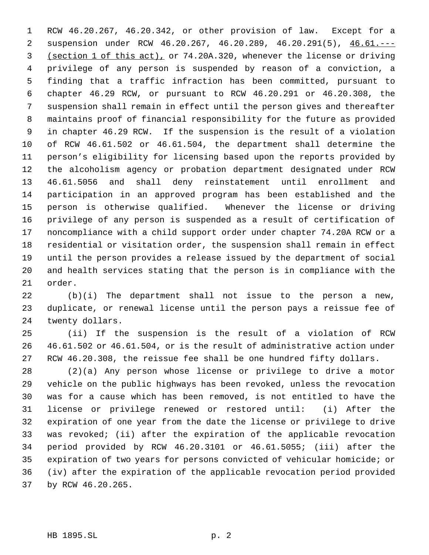RCW 46.20.267, 46.20.342, or other provision of law. Except for a 2 suspension under RCW 46.20.267, 46.20.289, 46.20.291(5), 46.61.--- (section 1 of this act), or 74.20A.320, whenever the license or driving privilege of any person is suspended by reason of a conviction, a finding that a traffic infraction has been committed, pursuant to chapter 46.29 RCW, or pursuant to RCW 46.20.291 or 46.20.308, the suspension shall remain in effect until the person gives and thereafter maintains proof of financial responsibility for the future as provided in chapter 46.29 RCW. If the suspension is the result of a violation of RCW 46.61.502 or 46.61.504, the department shall determine the person's eligibility for licensing based upon the reports provided by the alcoholism agency or probation department designated under RCW 46.61.5056 and shall deny reinstatement until enrollment and participation in an approved program has been established and the person is otherwise qualified. Whenever the license or driving privilege of any person is suspended as a result of certification of noncompliance with a child support order under chapter 74.20A RCW or a residential or visitation order, the suspension shall remain in effect until the person provides a release issued by the department of social and health services stating that the person is in compliance with the order.

 (b)(i) The department shall not issue to the person a new, duplicate, or renewal license until the person pays a reissue fee of twenty dollars.

 (ii) If the suspension is the result of a violation of RCW 46.61.502 or 46.61.504, or is the result of administrative action under RCW 46.20.308, the reissue fee shall be one hundred fifty dollars.

 (2)(a) Any person whose license or privilege to drive a motor vehicle on the public highways has been revoked, unless the revocation was for a cause which has been removed, is not entitled to have the license or privilege renewed or restored until: (i) After the expiration of one year from the date the license or privilege to drive was revoked; (ii) after the expiration of the applicable revocation period provided by RCW 46.20.3101 or 46.61.5055; (iii) after the expiration of two years for persons convicted of vehicular homicide; or (iv) after the expiration of the applicable revocation period provided by RCW 46.20.265.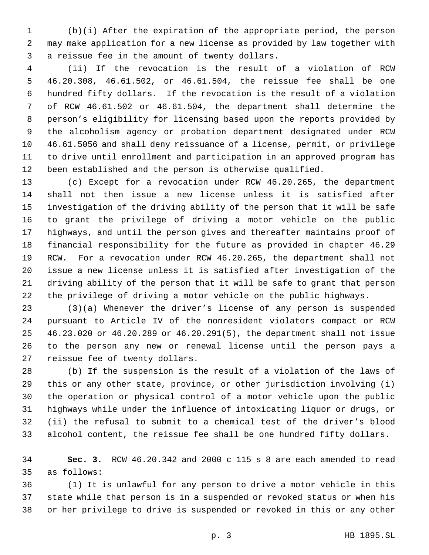(b)(i) After the expiration of the appropriate period, the person may make application for a new license as provided by law together with a reissue fee in the amount of twenty dollars.

 (ii) If the revocation is the result of a violation of RCW 46.20.308, 46.61.502, or 46.61.504, the reissue fee shall be one hundred fifty dollars. If the revocation is the result of a violation of RCW 46.61.502 or 46.61.504, the department shall determine the person's eligibility for licensing based upon the reports provided by the alcoholism agency or probation department designated under RCW 46.61.5056 and shall deny reissuance of a license, permit, or privilege to drive until enrollment and participation in an approved program has been established and the person is otherwise qualified.

 (c) Except for a revocation under RCW 46.20.265, the department shall not then issue a new license unless it is satisfied after investigation of the driving ability of the person that it will be safe to grant the privilege of driving a motor vehicle on the public highways, and until the person gives and thereafter maintains proof of financial responsibility for the future as provided in chapter 46.29 RCW. For a revocation under RCW 46.20.265, the department shall not issue a new license unless it is satisfied after investigation of the driving ability of the person that it will be safe to grant that person the privilege of driving a motor vehicle on the public highways.

 (3)(a) Whenever the driver's license of any person is suspended pursuant to Article IV of the nonresident violators compact or RCW 46.23.020 or 46.20.289 or 46.20.291(5), the department shall not issue to the person any new or renewal license until the person pays a reissue fee of twenty dollars.

 (b) If the suspension is the result of a violation of the laws of this or any other state, province, or other jurisdiction involving (i) the operation or physical control of a motor vehicle upon the public highways while under the influence of intoxicating liquor or drugs, or (ii) the refusal to submit to a chemical test of the driver's blood alcohol content, the reissue fee shall be one hundred fifty dollars.

 **Sec. 3.** RCW 46.20.342 and 2000 c 115 s 8 are each amended to read as follows:

 (1) It is unlawful for any person to drive a motor vehicle in this state while that person is in a suspended or revoked status or when his or her privilege to drive is suspended or revoked in this or any other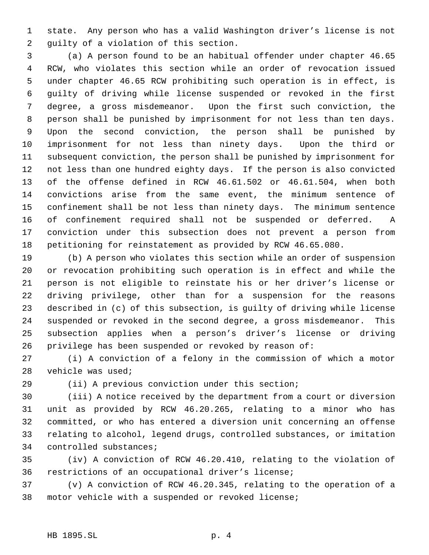state. Any person who has a valid Washington driver's license is not guilty of a violation of this section.

 (a) A person found to be an habitual offender under chapter 46.65 RCW, who violates this section while an order of revocation issued under chapter 46.65 RCW prohibiting such operation is in effect, is guilty of driving while license suspended or revoked in the first degree, a gross misdemeanor. Upon the first such conviction, the person shall be punished by imprisonment for not less than ten days. Upon the second conviction, the person shall be punished by imprisonment for not less than ninety days. Upon the third or subsequent conviction, the person shall be punished by imprisonment for not less than one hundred eighty days. If the person is also convicted of the offense defined in RCW 46.61.502 or 46.61.504, when both convictions arise from the same event, the minimum sentence of confinement shall be not less than ninety days. The minimum sentence of confinement required shall not be suspended or deferred. A conviction under this subsection does not prevent a person from petitioning for reinstatement as provided by RCW 46.65.080.

 (b) A person who violates this section while an order of suspension or revocation prohibiting such operation is in effect and while the person is not eligible to reinstate his or her driver's license or driving privilege, other than for a suspension for the reasons described in (c) of this subsection, is guilty of driving while license suspended or revoked in the second degree, a gross misdemeanor. This subsection applies when a person's driver's license or driving privilege has been suspended or revoked by reason of:

 (i) A conviction of a felony in the commission of which a motor vehicle was used;

(ii) A previous conviction under this section;

 (iii) A notice received by the department from a court or diversion unit as provided by RCW 46.20.265, relating to a minor who has committed, or who has entered a diversion unit concerning an offense relating to alcohol, legend drugs, controlled substances, or imitation controlled substances;

 (iv) A conviction of RCW 46.20.410, relating to the violation of restrictions of an occupational driver's license;

 (v) A conviction of RCW 46.20.345, relating to the operation of a motor vehicle with a suspended or revoked license;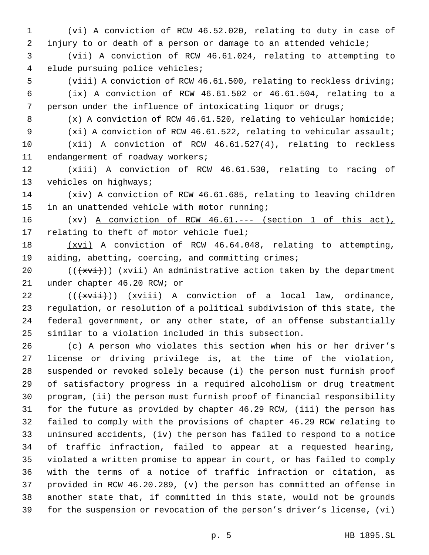(vi) A conviction of RCW 46.52.020, relating to duty in case of injury to or death of a person or damage to an attended vehicle;

 (vii) A conviction of RCW 46.61.024, relating to attempting to elude pursuing police vehicles;

 (viii) A conviction of RCW 46.61.500, relating to reckless driving; (ix) A conviction of RCW 46.61.502 or 46.61.504, relating to a

person under the influence of intoxicating liquor or drugs;

(x) A conviction of RCW 46.61.520, relating to vehicular homicide;

 (xi) A conviction of RCW 46.61.522, relating to vehicular assault; (xii) A conviction of RCW 46.61.527(4), relating to reckless

endangerment of roadway workers;

 (xiii) A conviction of RCW 46.61.530, relating to racing of 13 vehicles on highways;

 (xiv) A conviction of RCW 46.61.685, relating to leaving children in an unattended vehicle with motor running;

 (xv) A conviction of RCW 46.61.--- (section 1 of this act), 17 relating to theft of motor vehicle fuel;

18 (xvi) A conviction of RCW 46.64.048, relating to attempting, aiding, abetting, coercing, and committing crimes;

 $((+x\text{v}i))$   $(x\text{v}i)$  An administrative action taken by the department under chapter 46.20 RCW; or

 $((\text{+xvii}))$   $(xviii)$  A conviction of a local law, ordinance, regulation, or resolution of a political subdivision of this state, the federal government, or any other state, of an offense substantially similar to a violation included in this subsection.

 (c) A person who violates this section when his or her driver's license or driving privilege is, at the time of the violation, suspended or revoked solely because (i) the person must furnish proof of satisfactory progress in a required alcoholism or drug treatment program, (ii) the person must furnish proof of financial responsibility for the future as provided by chapter 46.29 RCW, (iii) the person has failed to comply with the provisions of chapter 46.29 RCW relating to uninsured accidents, (iv) the person has failed to respond to a notice of traffic infraction, failed to appear at a requested hearing, violated a written promise to appear in court, or has failed to comply with the terms of a notice of traffic infraction or citation, as provided in RCW 46.20.289, (v) the person has committed an offense in another state that, if committed in this state, would not be grounds for the suspension or revocation of the person's driver's license, (vi)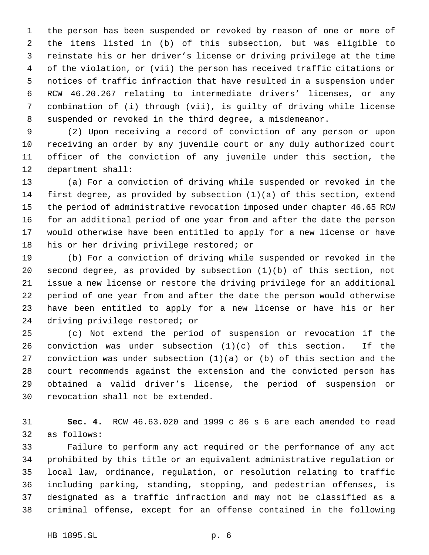the person has been suspended or revoked by reason of one or more of the items listed in (b) of this subsection, but was eligible to reinstate his or her driver's license or driving privilege at the time of the violation, or (vii) the person has received traffic citations or notices of traffic infraction that have resulted in a suspension under RCW 46.20.267 relating to intermediate drivers' licenses, or any combination of (i) through (vii), is guilty of driving while license suspended or revoked in the third degree, a misdemeanor.

 (2) Upon receiving a record of conviction of any person or upon receiving an order by any juvenile court or any duly authorized court officer of the conviction of any juvenile under this section, the department shall:

 (a) For a conviction of driving while suspended or revoked in the first degree, as provided by subsection (1)(a) of this section, extend the period of administrative revocation imposed under chapter 46.65 RCW for an additional period of one year from and after the date the person would otherwise have been entitled to apply for a new license or have his or her driving privilege restored; or

 (b) For a conviction of driving while suspended or revoked in the second degree, as provided by subsection (1)(b) of this section, not issue a new license or restore the driving privilege for an additional period of one year from and after the date the person would otherwise have been entitled to apply for a new license or have his or her driving privilege restored; or

 (c) Not extend the period of suspension or revocation if the conviction was under subsection (1)(c) of this section. If the conviction was under subsection (1)(a) or (b) of this section and the court recommends against the extension and the convicted person has obtained a valid driver's license, the period of suspension or revocation shall not be extended.

 **Sec. 4.** RCW 46.63.020 and 1999 c 86 s 6 are each amended to read as follows:

 Failure to perform any act required or the performance of any act prohibited by this title or an equivalent administrative regulation or local law, ordinance, regulation, or resolution relating to traffic including parking, standing, stopping, and pedestrian offenses, is designated as a traffic infraction and may not be classified as a criminal offense, except for an offense contained in the following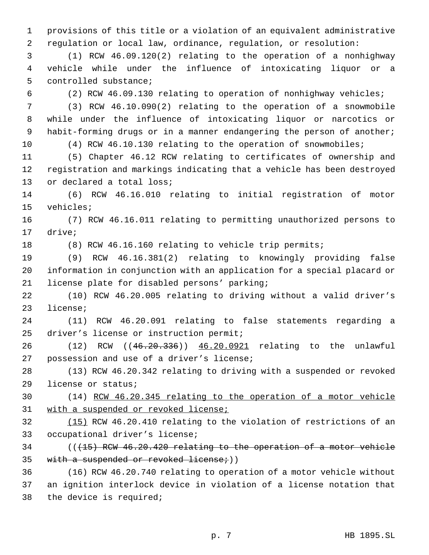provisions of this title or a violation of an equivalent administrative regulation or local law, ordinance, regulation, or resolution:

 (1) RCW 46.09.120(2) relating to the operation of a nonhighway vehicle while under the influence of intoxicating liquor or a controlled substance;

(2) RCW 46.09.130 relating to operation of nonhighway vehicles;

 (3) RCW 46.10.090(2) relating to the operation of a snowmobile while under the influence of intoxicating liquor or narcotics or habit-forming drugs or in a manner endangering the person of another;

(4) RCW 46.10.130 relating to the operation of snowmobiles;

 (5) Chapter 46.12 RCW relating to certificates of ownership and registration and markings indicating that a vehicle has been destroyed 13 or declared a total loss;

 (6) RCW 46.16.010 relating to initial registration of motor vehicles;

 (7) RCW 46.16.011 relating to permitting unauthorized persons to drive;

(8) RCW 46.16.160 relating to vehicle trip permits;

 (9) RCW 46.16.381(2) relating to knowingly providing false information in conjunction with an application for a special placard or license plate for disabled persons' parking;

 (10) RCW 46.20.005 relating to driving without a valid driver's license;

 (11) RCW 46.20.091 relating to false statements regarding a driver's license or instruction permit;

 (12) RCW ((46.20.336)) 46.20.0921 relating to the unlawful possession and use of a driver's license;

 (13) RCW 46.20.342 relating to driving with a suspended or revoked license or status;

 (14) RCW 46.20.345 relating to the operation of a motor vehicle 31 with a suspended or revoked license;

 (15) RCW 46.20.410 relating to the violation of restrictions of an occupational driver's license;

 (((15) RCW 46.20.420 relating to the operation of a motor vehicle 35 with a suspended or revoked license;  $)$ )

 (16) RCW 46.20.740 relating to operation of a motor vehicle without an ignition interlock device in violation of a license notation that the device is required;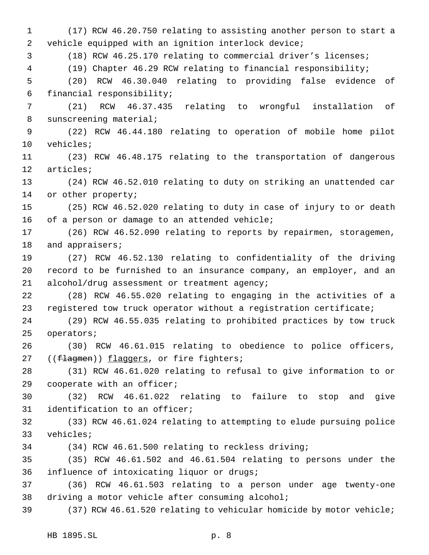(17) RCW 46.20.750 relating to assisting another person to start a vehicle equipped with an ignition interlock device; (18) RCW 46.25.170 relating to commercial driver's licenses; (19) Chapter 46.29 RCW relating to financial responsibility; (20) RCW 46.30.040 relating to providing false evidence of financial responsibility; (21) RCW 46.37.435 relating to wrongful installation of sunscreening material; (22) RCW 46.44.180 relating to operation of mobile home pilot vehicles; (23) RCW 46.48.175 relating to the transportation of dangerous articles; (24) RCW 46.52.010 relating to duty on striking an unattended car or other property; (25) RCW 46.52.020 relating to duty in case of injury to or death of a person or damage to an attended vehicle; (26) RCW 46.52.090 relating to reports by repairmen, storagemen, 18 and appraisers; (27) RCW 46.52.130 relating to confidentiality of the driving record to be furnished to an insurance company, an employer, and an alcohol/drug assessment or treatment agency; (28) RCW 46.55.020 relating to engaging in the activities of a registered tow truck operator without a registration certificate; (29) RCW 46.55.035 relating to prohibited practices by tow truck operators; (30) RCW 46.61.015 relating to obedience to police officers, 27 ((flagmen)) flaggers, or fire fighters; (31) RCW 46.61.020 relating to refusal to give information to or cooperate with an officer; (32) RCW 46.61.022 relating to failure to stop and give identification to an officer; (33) RCW 46.61.024 relating to attempting to elude pursuing police vehicles; (34) RCW 46.61.500 relating to reckless driving; (35) RCW 46.61.502 and 46.61.504 relating to persons under the influence of intoxicating liquor or drugs; (36) RCW 46.61.503 relating to a person under age twenty-one driving a motor vehicle after consuming alcohol; (37) RCW 46.61.520 relating to vehicular homicide by motor vehicle;